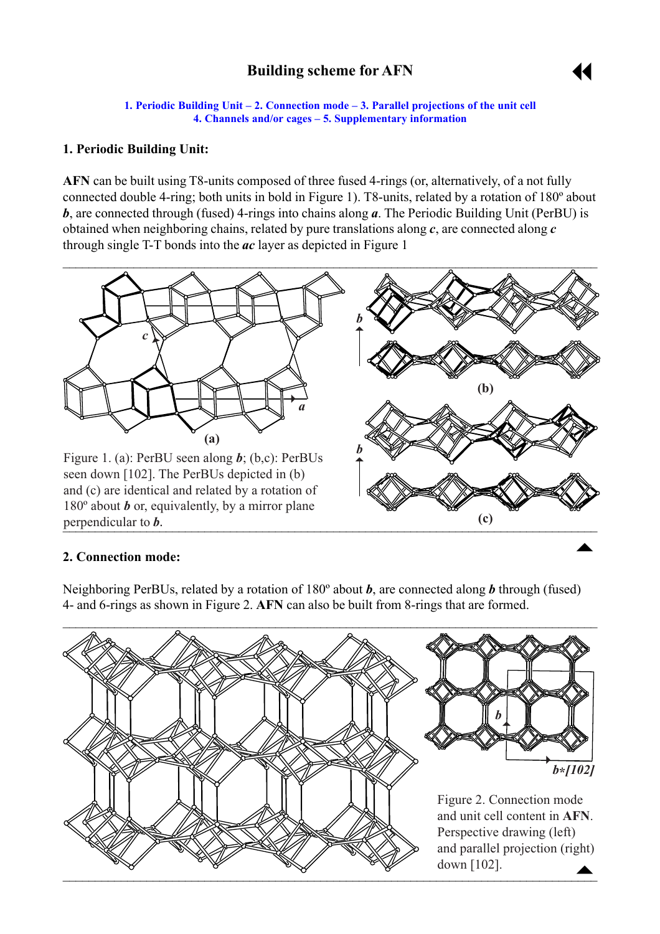# **Building scheme for AFN**



**1. Periodic Building Unit – 2. Connection mode – [3. Parallel projections of the unit cell](#page-1-0) 4. Channels and/or cages – [5. Supplementary information](#page-2-0)** 

### <span id="page-0-0"></span>**1. Periodic Building Unit:**

**AFN** can be built using T8-units composed of three fused 4-rings (or, alternatively, of a not fully connected double 4-ring; both units in bold in Figure 1). T8-units, related by a rotation of 180º about *b*, are connected through (fused) 4-rings into chains along *a*. The Periodic Building Unit (PerBU) is obtained when neighboring chains, related by pure translations along *c*, are connected along *c* through single T-T bonds into the *ac* layer as depicted in Figure 1



#### **2. Connection mode:**

Neighboring PerBUs, related by a rotation of 180º about *b*, are connected along *b* through (fused) 4- and 6-rings as shown in Figure 2. **AFN** can also be built from 8-rings that are formed.

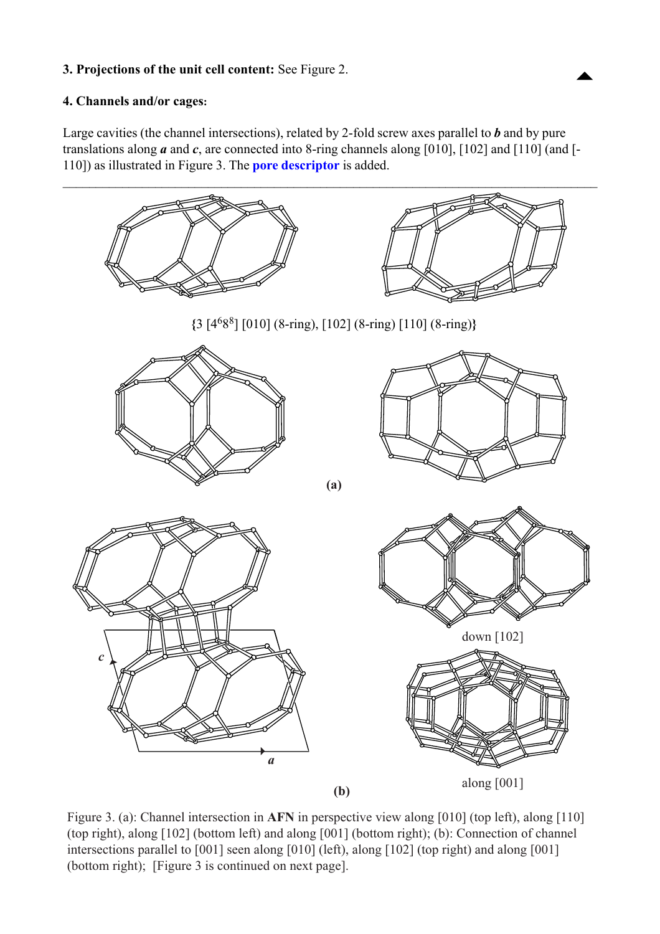## <span id="page-1-0"></span>**3. Projections of the unit cell content:** See Figure 2. ["](#page-0-0)

### **4. Channels and/or cages:**

Large cavities (the channel intersections), related by 2-fold screw axes parallel to *b* and by pure translations along *a* and *c*, are connected into 8-ring channels along [010], [102] and [110] (and [- 110]) as illustrated in Figure 3. The **[pore descriptor](http://www.iza-structure.org/databases/ModelBuilding/Introduction.pdf)** is added.



Figure 3. (a): Channel intersection in **AFN** in perspective view along [010] (top left), along [110] (top right), along [102] (bottom left) and along [001] (bottom right); (b): Connection of channel intersections parallel to  $[001]$  seen along  $[010]$  (left), along  $[102]$  (top right) and along  $[001]$ intersections parallel to  $[0,1]$  seen along  $[0,0]$  (exp., along  $[0,0]$  (top right) and along  $[0,0]$  $\mathbf{F}^{\text{ref}}$